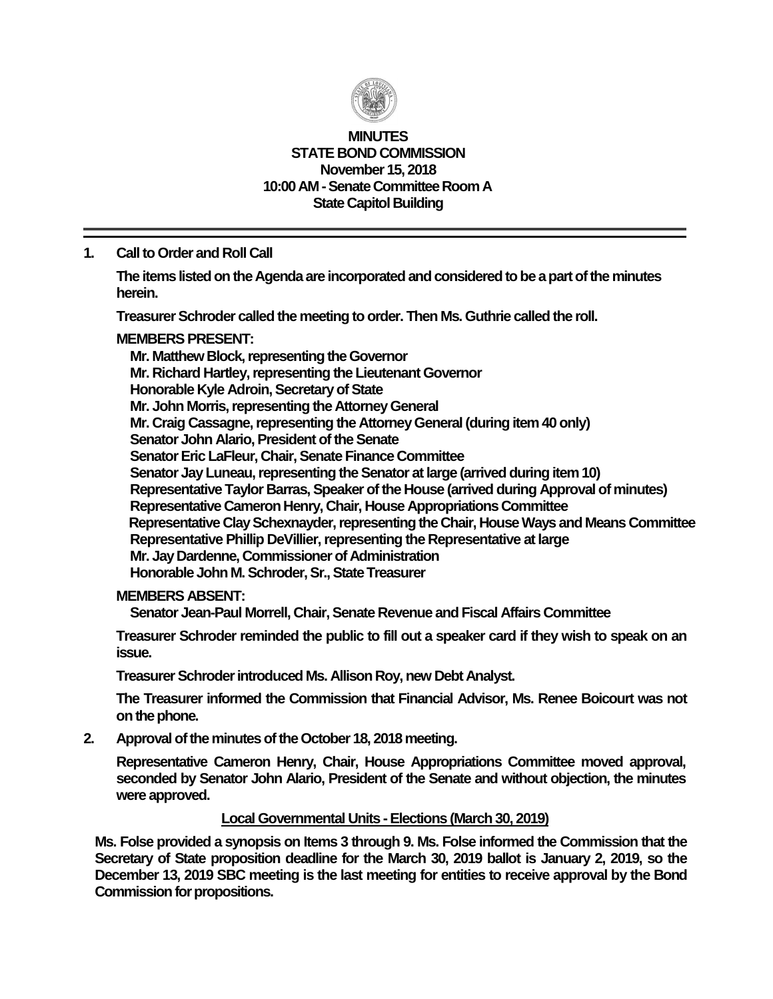

#### **MINUTES STATE BOND COMMISSION November 15, 2018 10:00 AM - Senate Committee Room A State Capitol Building**

**1. Call to Order and Roll Call**

**The items listed on the Agenda are incorporated and considered to be a part of the minutes herein.**

**Treasurer Schroder called the meeting to order. Then Ms. Guthrie called the roll.**

### **MEMBERS PRESENT:**

**Mr. Matthew Block, representing the Governor Mr. Richard Hartley, representing the Lieutenant Governor Honorable Kyle Adroin, Secretary of State Mr. John Morris, representing the Attorney General Mr. Craig Cassagne, representing the Attorney General (during item 40 only) Senator John Alario, President of the Senate Senator Eric LaFleur, Chair, Senate Finance Committee Senator Jay Luneau, representing the Senator at large (arrived during item 10) Representative Taylor Barras, Speaker of the House (arrived during Approval of minutes) Representative Cameron Henry, Chair, House Appropriations Committee Representative Clay Schexnayder, representing the Chair, House Ways and Means Committee Representative Phillip DeVillier, representing the Representative at large Mr. Jay Dardenne, Commissioner of Administration Honorable John M. Schroder, Sr., State Treasurer**

#### **MEMBERS ABSENT:**

**Senator Jean-Paul Morrell, Chair, Senate Revenue and Fiscal Affairs Committee**

**Treasurer Schroder reminded the public to fill out a speaker card if they wish to speak on an issue.**

**Treasurer Schroder introduced Ms. Allison Roy, new Debt Analyst.**

**The Treasurer informed the Commission that Financial Advisor, Ms. Renee Boicourt was not**  on the phone.

**2. Approval of the minutes of the October 18, 2018 meeting.**

**Representative Cameron Henry, Chair, House Appropriations Committee moved approval, seconded by Senator John Alario, President of the Senate and without objection, the minutes were approved.**

#### **Local Governmental Units - Elections (March 30, 2019)**

**Ms. Folse provided a synopsis on Items 3 through 9. Ms. Folse informed the Commission that the Secretary of State proposition deadline for the March 30, 2019 ballot is January 2, 2019, so the December 13, 2019 SBC meeting is the last meeting for entities to receive approval by the Bond Commission for propositions.**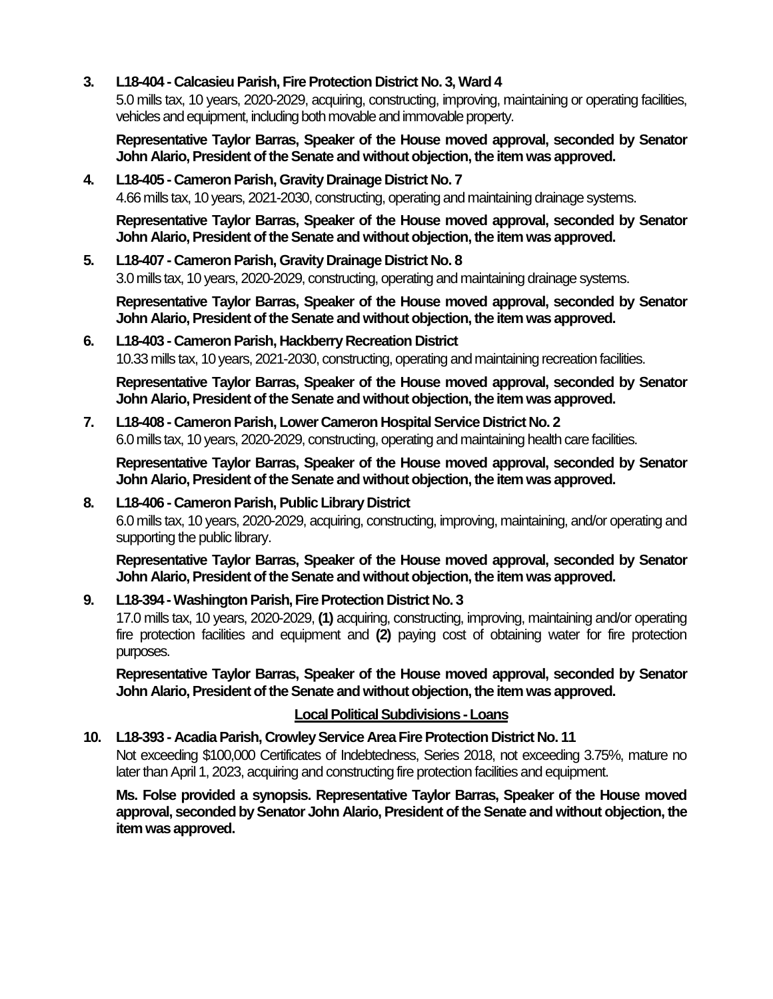### **3. L18-404 - Calcasieu Parish, Fire Protection District No. 3, Ward 4**

5.0 mills tax, 10 years, 2020-2029, acquiring, constructing, improving, maintaining or operating facilities, vehicles and equipment, including both movable and immovable property.

**Representative Taylor Barras, Speaker of the House moved approval, seconded by Senator John Alario, President of the Senate and without objection, the item was approved.**

# **4. L18-405 - Cameron Parish, Gravity Drainage District No. 7** 4.66 mills tax, 10 years, 2021-2030, constructing, operating and maintaining drainage systems.

**Representative Taylor Barras, Speaker of the House moved approval, seconded by Senator John Alario, President of the Senate and without objection, the item was approved.**

### **5. L18-407 - Cameron Parish, Gravity Drainage District No. 8** 3.0 mills tax, 10 years, 2020-2029, constructing, operating and maintaining drainage systems.

**Representative Taylor Barras, Speaker of the House moved approval, seconded by Senator John Alario, President of the Senate and without objection, the item was approved.**

## **6. L18-403 - Cameron Parish, Hackberry Recreation District** 10.33 mills tax, 10 years, 2021-2030, constructing, operating and maintaining recreation facilities.

**Representative Taylor Barras, Speaker of the House moved approval, seconded by Senator John Alario, President of the Senate and without objection, the item was approved.**

#### **7. L18-408 - Cameron Parish, Lower Cameron Hospital Service District No. 2** 6.0 mills tax, 10 years, 2020-2029, constructing, operating and maintaining health care facilities.

**Representative Taylor Barras, Speaker of the House moved approval, seconded by Senator John Alario, President of the Senate and without objection, the item was approved.**

## **8. L18-406 - Cameron Parish, Public Library District**

6.0 mills tax, 10 years, 2020-2029, acquiring, constructing, improving, maintaining, and/or operating and supporting the public library.

**Representative Taylor Barras, Speaker of the House moved approval, seconded by Senator John Alario, President of the Senate and without objection, the item was approved.**

## **9. L18-394 -Washington Parish, Fire Protection District No. 3**

17.0 mills tax, 10 years, 2020-2029, **(1)** acquiring, constructing, improving, maintaining and/or operating fire protection facilities and equipment and **(2)** paying cost of obtaining water for fire protection purposes.

**Representative Taylor Barras, Speaker of the House moved approval, seconded by Senator John Alario, President of the Senate and without objection, the item was approved.**

## **Local Political Subdivisions -Loans**

#### **10. L18-393 - Acadia Parish, Crowley Service Area Fire Protection District No. 11**

Not exceeding \$100,000 Certificates of Indebtedness, Series 2018, not exceeding 3.75%, mature no later than April 1, 2023, acquiring and constructing fire protection facilities and equipment.

**Ms. Folse provided a synopsis. Representative Taylor Barras, Speaker of the House moved approval, seconded by Senator John Alario, President of the Senate and without objection, the item was approved.**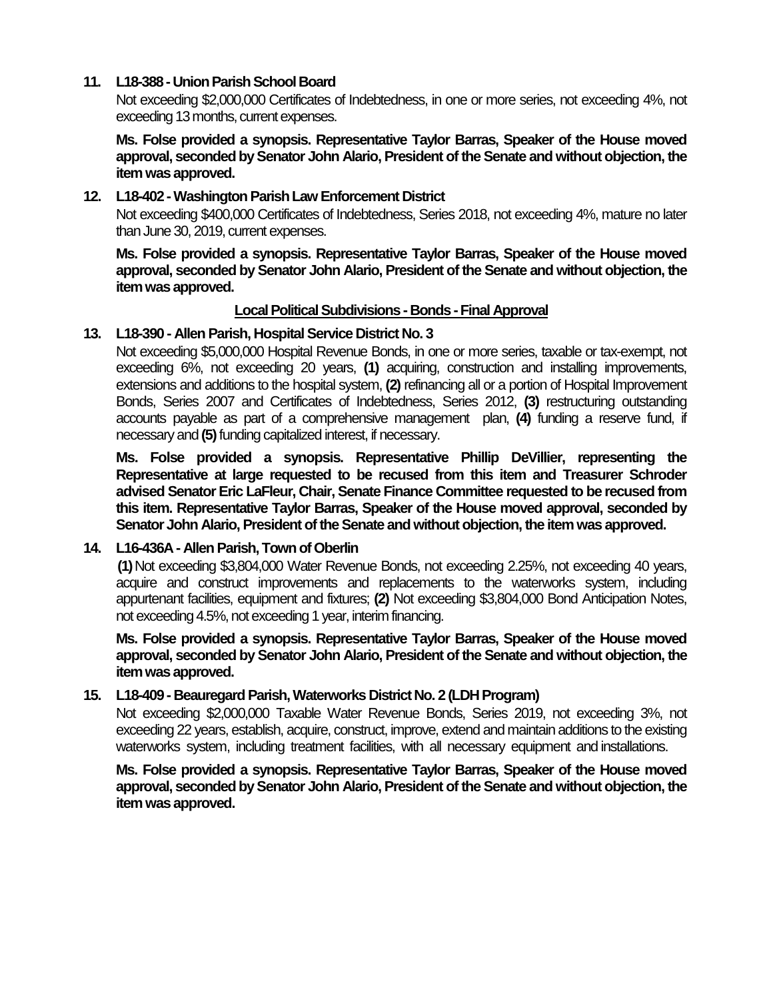#### **11. L18-388 - Union Parish School Board**

Not exceeding \$2,000,000 Certificates of Indebtedness, in one or more series, not exceeding 4%, not exceeding 13 months, current expenses.

**Ms. Folse provided a synopsis. Representative Taylor Barras, Speaker of the House moved approval, seconded by Senator John Alario, President of the Senate and without objection, the item was approved.**

#### **12. L18-402 -Washington Parish Law Enforcement District**

Not exceeding \$400,000 Certificates of Indebtedness, Series 2018, not exceeding 4%, mature no later than June 30, 2019, current expenses.

**Ms. Folse provided a synopsis. Representative Taylor Barras, Speaker of the House moved approval, seconded by Senator John Alario, President of the Senate and without objection, the item was approved.**

#### **Local Political Subdivisions - Bonds -Final Approval**

#### **13. L18-390 - Allen Parish, Hospital Service District No. 3**

Not exceeding \$5,000,000 Hospital Revenue Bonds, in one or more series, taxable or tax-exempt, not exceeding 6%, not exceeding 20 years, **(1)** acquiring, construction and installing improvements, extensions and additions to the hospital system, **(2)** refinancing all or a portion of Hospital Improvement Bonds, Series 2007 and Certificates of Indebtedness, Series 2012, **(3)** restructuring outstanding accounts payable as part of a comprehensive management plan, **(4)** funding a reserve fund, if necessary and **(5)**funding capitalized interest, if necessary.

**Ms. Folse provided a synopsis. Representative Phillip DeVillier, representing the Representative at large requested to be recused from this item and Treasurer Schroder advised Senator Eric LaFleur, Chair, Senate Finance Committee requested to be recused from this item. Representative Taylor Barras, Speaker of the House moved approval, seconded by Senator John Alario, President of the Senate and without objection, the item was approved.**

#### **14. L16-436A - Allen Parish, Town of Oberlin**

**(1)**Not exceeding \$3,804,000 Water Revenue Bonds, not exceeding 2.25%, not exceeding 40 years, acquire and construct improvements and replacements to the waterworks system, including appurtenant facilities, equipment and fixtures; **(2)** Not exceeding \$3,804,000 Bond Anticipation Notes, not exceeding 4.5%, not exceeding 1 year, interim financing.

**Ms. Folse provided a synopsis. Representative Taylor Barras, Speaker of the House moved approval, seconded by Senator John Alario, President of the Senate and without objection, the item was approved.**

#### **15. L18-409 - Beauregard Parish, Waterworks District No. 2 (LDH Program)**

Not exceeding \$2,000,000 Taxable Water Revenue Bonds, Series 2019, not exceeding 3%, not exceeding 22 years, establish, acquire, construct, improve, extend and maintain additions to the existing waterworks system, including treatment facilities, with all necessary equipment and installations.

**Ms. Folse provided a synopsis. Representative Taylor Barras, Speaker of the House moved approval, seconded by Senator John Alario, President of the Senate and without objection, the item was approved.**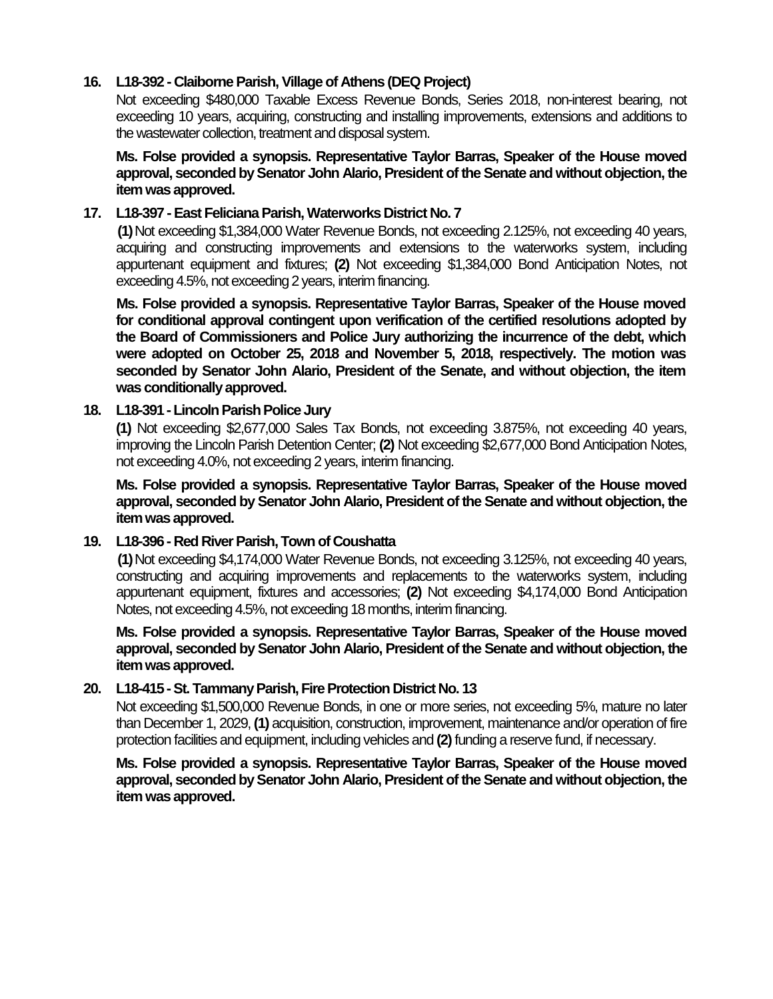#### **16. L18-392 - Claiborne Parish, Village of Athens (DEQ Project)**

Not exceeding \$480,000 Taxable Excess Revenue Bonds, Series 2018, non-interest bearing, not exceeding 10 years, acquiring, constructing and installing improvements, extensions and additions to the wastewater collection, treatment and disposal system.

**Ms. Folse provided a synopsis. Representative Taylor Barras, Speaker of the House moved approval, seconded by Senator John Alario, President of the Senate and without objection, the item was approved.**

#### **17. L18-397 -East Feliciana Parish, Waterworks District No. 7**

**(1)**Not exceeding \$1,384,000 Water Revenue Bonds, not exceeding 2.125%, not exceeding 40 years, acquiring and constructing improvements and extensions to the waterworks system, including appurtenant equipment and fixtures; **(2)** Not exceeding \$1,384,000 Bond Anticipation Notes, not exceeding 4.5%, not exceeding 2 years, interim financing.

**Ms. Folse provided a synopsis. Representative Taylor Barras, Speaker of the House moved for conditional approval contingent upon verification of the certified resolutions adopted by the Board of Commissioners and Police Jury authorizing the incurrence of the debt, which were adopted on October 25, 2018 and November 5, 2018, respectively. The motion was seconded by Senator John Alario, President of the Senate, and without objection, the item was conditionally approved.**

#### **18. L18-391 -Lincoln Parish Police Jury**

**(1)** Not exceeding \$2,677,000 Sales Tax Bonds, not exceeding 3.875%, not exceeding 40 years, improving the Lincoln Parish Detention Center; **(2)** Not exceeding \$2,677,000 Bond Anticipation Notes, not exceeding 4.0%, not exceeding 2 years, interim financing.

**Ms. Folse provided a synopsis. Representative Taylor Barras, Speaker of the House moved approval, seconded by Senator John Alario, President of the Senate and without objection, the item was approved.**

#### **19. L18-396 - Red River Parish, Town of Coushatta**

**(1)**Not exceeding \$4,174,000 Water Revenue Bonds, not exceeding 3.125%, not exceeding 40 years, constructing and acquiring improvements and replacements to the waterworks system, including appurtenant equipment, fixtures and accessories; **(2)** Not exceeding \$4,174,000 Bond Anticipation Notes, not exceeding 4.5%, not exceeding 18 months, interim financing.

**Ms. Folse provided a synopsis. Representative Taylor Barras, Speaker of the House moved approval, seconded by Senator John Alario, President of the Senate and without objection, the item was approved.**

#### **20. L18-415 -St. Tammany Parish, Fire Protection District No. 13**

Not exceeding \$1,500,000 Revenue Bonds, in one or more series, not exceeding 5%, mature no later than December 1, 2029, **(1)** acquisition, construction, improvement, maintenance and/or operation of fire protection facilities and equipment, including vehicles and **(2)**funding a reserve fund, if necessary.

**Ms. Folse provided a synopsis. Representative Taylor Barras, Speaker of the House moved approval, seconded by Senator John Alario, President of the Senate and without objection, the item was approved.**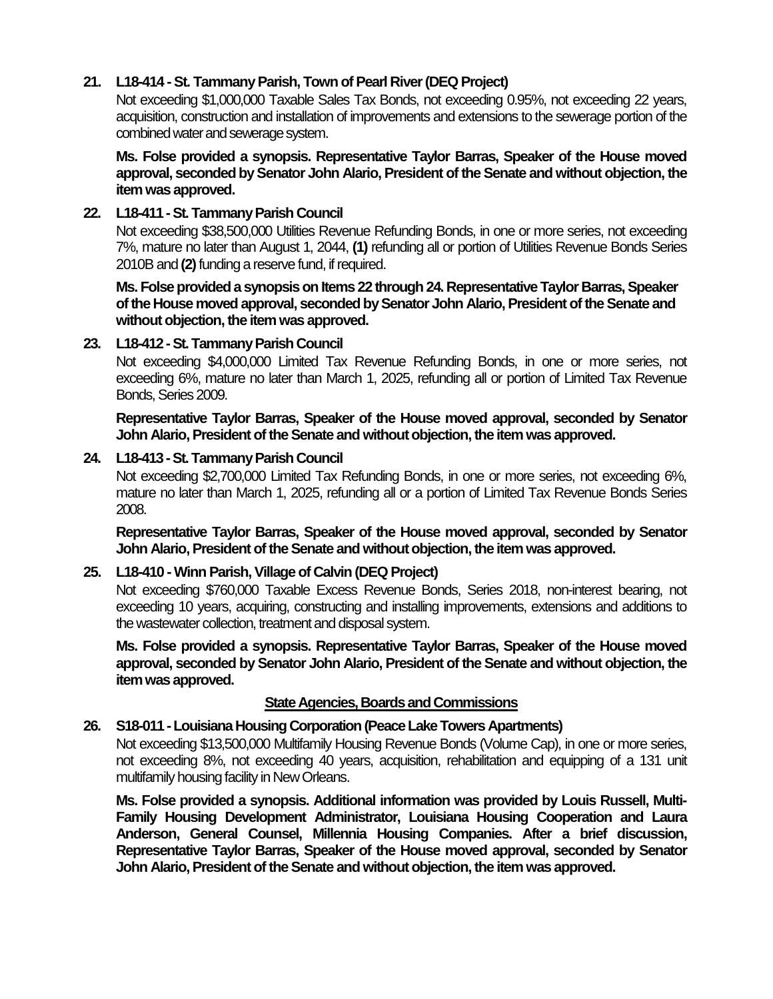### **21. L18-414 -St. Tammany Parish, Town of Pearl River (DEQ Project)**

Not exceeding \$1,000,000 Taxable Sales Tax Bonds, not exceeding 0.95%, not exceeding 22 years, acquisition, construction and installation of improvements and extensions to the sewerage portion of the combined water and sewerage system.

**Ms. Folse provided a synopsis. Representative Taylor Barras, Speaker of the House moved approval, seconded by Senator John Alario, President of the Senate and without objection, the item was approved.**

### **22. L18-411 -St. Tammany Parish Council**

Not exceeding \$38,500,000 Utilities Revenue Refunding Bonds, in one or more series, not exceeding 7%, mature no later than August 1, 2044, **(1)** refunding all or portion of Utilities Revenue Bonds Series 2010B and **(2)**funding a reserve fund, if required.

**Ms. Folse provided a synopsis on Items 22 through 24. Representative Taylor Barras, Speaker of the House moved approval, seconded by Senator John Alario, President of the Senate and without objection, the item was approved.**

### **23. L18-412 -St. Tammany Parish Council**

Not exceeding \$4,000,000 Limited Tax Revenue Refunding Bonds, in one or more series, not exceeding 6%, mature no later than March 1, 2025, refunding all or portion of Limited Tax Revenue Bonds, Series 2009.

**Representative Taylor Barras, Speaker of the House moved approval, seconded by Senator John Alario, President of the Senate and without objection, the item was approved.**

### **24. L18-413 -St. Tammany Parish Council**

Not exceeding \$2,700,000 Limited Tax Refunding Bonds, in one or more series, not exceeding 6%, mature no later than March 1, 2025, refunding all or a portion of Limited Tax Revenue Bonds Series 2008.

**Representative Taylor Barras, Speaker of the House moved approval, seconded by Senator John Alario, President of the Senate and without objection, the item was approved.**

#### **25. L18-410 -Winn Parish, Village of Calvin (DEQ Project)**

Not exceeding \$760,000 Taxable Excess Revenue Bonds, Series 2018, non-interest bearing, not exceeding 10 years, acquiring, constructing and installing improvements, extensions and additions to the wastewater collection, treatment and disposal system.

**Ms. Folse provided a synopsis. Representative Taylor Barras, Speaker of the House moved approval, seconded by Senator John Alario, President of the Senate and without objection, the item was approved.**

#### **State Agencies, Boards and Commissions**

#### **26. S18-011 -Louisiana Housing Corporation (Peace Lake Towers Apartments)**

Not exceeding \$13,500,000 Multifamily Housing Revenue Bonds (Volume Cap), in one or more series, not exceeding 8%, not exceeding 40 years, acquisition, rehabilitation and equipping of a 131 unit multifamily housing facility in New Orleans.

**Ms. Folse provided a synopsis. Additional information was provided by Louis Russell, Multi-Family Housing Development Administrator, Louisiana Housing Cooperation and Laura Anderson, General Counsel, Millennia Housing Companies. After a brief discussion, Representative Taylor Barras, Speaker of the House moved approval, seconded by Senator John Alario, President of the Senate and without objection, the item was approved.**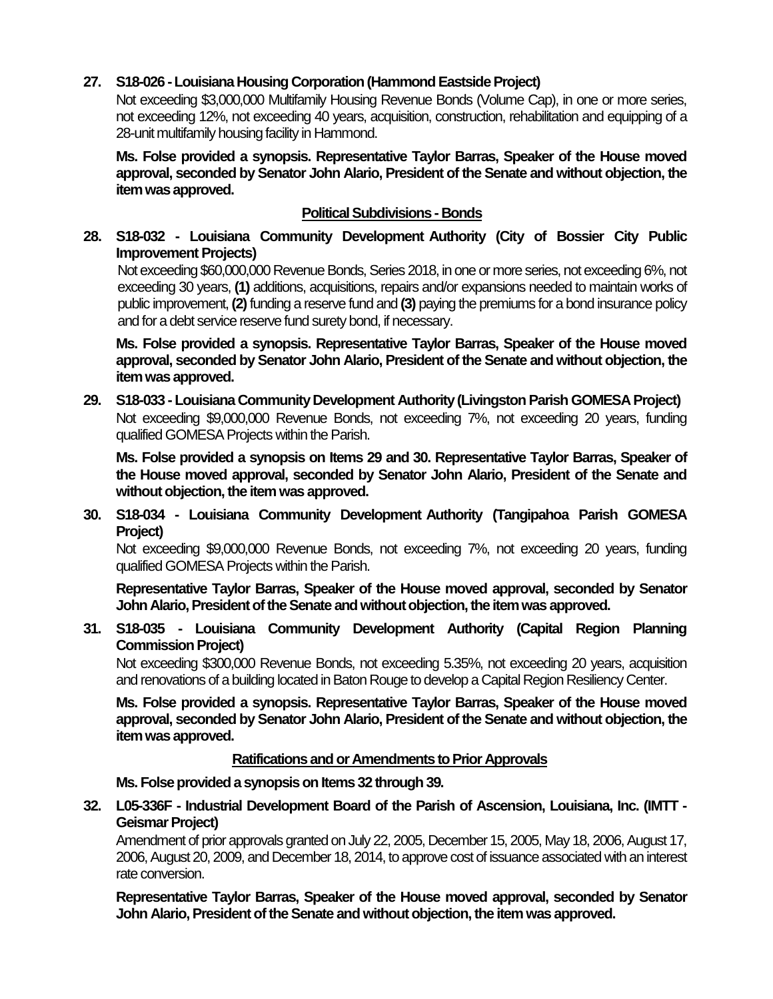## **27. S18-026 -Louisiana Housing Corporation (Hammond Eastside Project)**

Not exceeding \$3,000,000 Multifamily Housing Revenue Bonds (Volume Cap), in one or more series, not exceeding 12%, not exceeding 40 years, acquisition, construction, rehabilitation and equipping of a 28-unit multifamily housing facility in Hammond.

**Ms. Folse provided a synopsis. Representative Taylor Barras, Speaker of the House moved approval, seconded by Senator John Alario, President of the Senate and without objection, the item was approved.**

## **Political Subdivisions - Bonds**

## **28. S18-032 - Louisiana Community Development Authority (City of Bossier City Public Improvement Projects)**

Not exceeding \$60,000,000 Revenue Bonds, Series 2018, in one or more series, not exceeding 6%, not exceeding 30 years, **(1)** additions, acquisitions, repairs and/or expansions needed to maintain works of public improvement, **(2)**funding a reserve fund and **(3)** paying the premiums for a bond insurance policy and for a debt service reserve fund surety bond, if necessary.

**Ms. Folse provided a synopsis. Representative Taylor Barras, Speaker of the House moved approval, seconded by Senator John Alario, President of the Senate and without objection, the item was approved.**

**29. S18-033 - Louisiana Community Development Authority (Livingston Parish GOMESA Project)** Not exceeding \$9,000,000 Revenue Bonds, not exceeding 7%, not exceeding 20 years, funding qualified GOMESA Projects within the Parish.

**Ms. Folse provided a synopsis on Items 29 and 30. Representative Taylor Barras, Speaker of the House moved approval, seconded by Senator John Alario, President of the Senate and without objection, the item was approved.**

**30. S18-034 - Louisiana Community Development Authority (Tangipahoa Parish GOMESA Project)**

Not exceeding \$9,000,000 Revenue Bonds, not exceeding 7%, not exceeding 20 years, funding qualified GOMESA Projects within the Parish.

**Representative Taylor Barras, Speaker of the House moved approval, seconded by Senator John Alario, President of the Senate and without objection, the item was approved.**

**31. S18-035 - Louisiana Community Development Authority (Capital Region Planning Commission Project)**

Not exceeding \$300,000 Revenue Bonds, not exceeding 5.35%, not exceeding 20 years, acquisition and renovations of a building located in Baton Rouge to develop a Capital Region Resiliency Center.

**Ms. Folse provided a synopsis. Representative Taylor Barras, Speaker of the House moved approval, seconded by Senator John Alario, President of the Senate and without objection, the item was approved.**

#### **Ratifications and or Amendments to Prior Approvals**

**Ms. Folse provided a synopsis on Items 32 through 39.**

**32. L05-336F - Industrial Development Board of the Parish of Ascension, Louisiana, Inc. (IMTT - Geismar Project)**

Amendment of prior approvals granted on July 22, 2005, December 15, 2005, May 18, 2006, August 17, 2006, August 20, 2009, and December 18, 2014, to approve cost of issuance associated with an interest rate conversion.

**Representative Taylor Barras, Speaker of the House moved approval, seconded by Senator John Alario, President of the Senate and without objection, the item was approved.**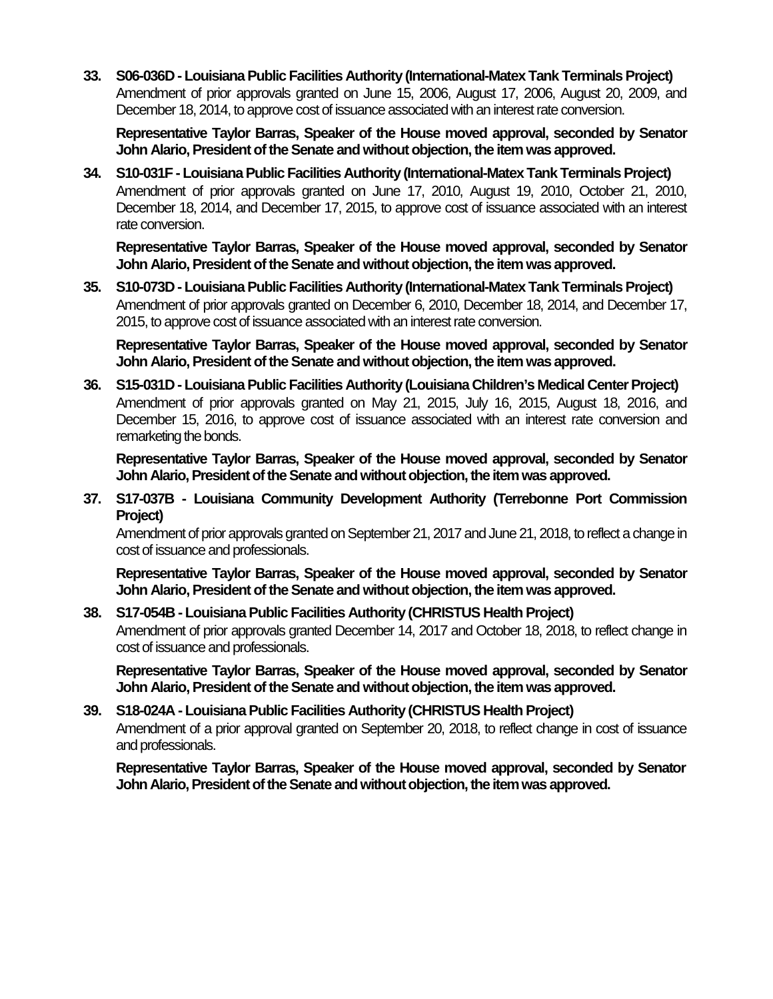**33. S06-036D - Louisiana Public Facilities Authority (International-Matex Tank Terminals Project)** Amendment of prior approvals granted on June 15, 2006, August 17, 2006, August 20, 2009, and December 18, 2014, to approve cost of issuance associated with an interest rate conversion.

**Representative Taylor Barras, Speaker of the House moved approval, seconded by Senator John Alario, President of the Senate and without objection, the item was approved.**

**34. S10-031F - Louisiana Public Facilities Authority (International-Matex Tank Terminals Project)** Amendment of prior approvals granted on June 17, 2010, August 19, 2010, October 21, 2010, December 18, 2014, and December 17, 2015, to approve cost of issuance associated with an interest rate conversion.

**Representative Taylor Barras, Speaker of the House moved approval, seconded by Senator John Alario, President of the Senate and without objection, the item was approved.**

**35. S10-073D - Louisiana Public Facilities Authority (International-Matex Tank Terminals Project)** Amendment of prior approvals granted on December 6, 2010, December 18, 2014, and December 17, 2015, to approve cost of issuance associated with an interest rate conversion.

**Representative Taylor Barras, Speaker of the House moved approval, seconded by Senator John Alario, President of the Senate and without objection, the item was approved.**

**36. S15-031D - Louisiana Public Facilities Authority (Louisiana Children's Medical Center Project)** Amendment of prior approvals granted on May 21, 2015, July 16, 2015, August 18, 2016, and December 15, 2016, to approve cost of issuance associated with an interest rate conversion and remarketing the bonds.

**Representative Taylor Barras, Speaker of the House moved approval, seconded by Senator John Alario, President of the Senate and without objection, the item was approved.**

**37. S17-037B - Louisiana Community Development Authority (Terrebonne Port Commission Project)**

Amendment of prior approvals granted on September 21, 2017 and June 21, 2018, to reflect a change in cost of issuance and professionals.

**Representative Taylor Barras, Speaker of the House moved approval, seconded by Senator John Alario, President of the Senate and without objection, the item was approved.**

### **38. S17-054B - Louisiana Public Facilities Authority (CHRISTUS Health Project)** Amendment of prior approvals granted December 14, 2017 and October 18, 2018, to reflect change in cost of issuance and professionals.

**Representative Taylor Barras, Speaker of the House moved approval, seconded by Senator John Alario, President of the Senate and without objection, the item was approved.**

## **39. S18-024A - Louisiana Public Facilities Authority (CHRISTUS Health Project)** Amendment of a prior approval granted on September 20, 2018, to reflect change in cost of issuance and professionals.

**Representative Taylor Barras, Speaker of the House moved approval, seconded by Senator John Alario, President of the Senate and without objection, the item was approved.**